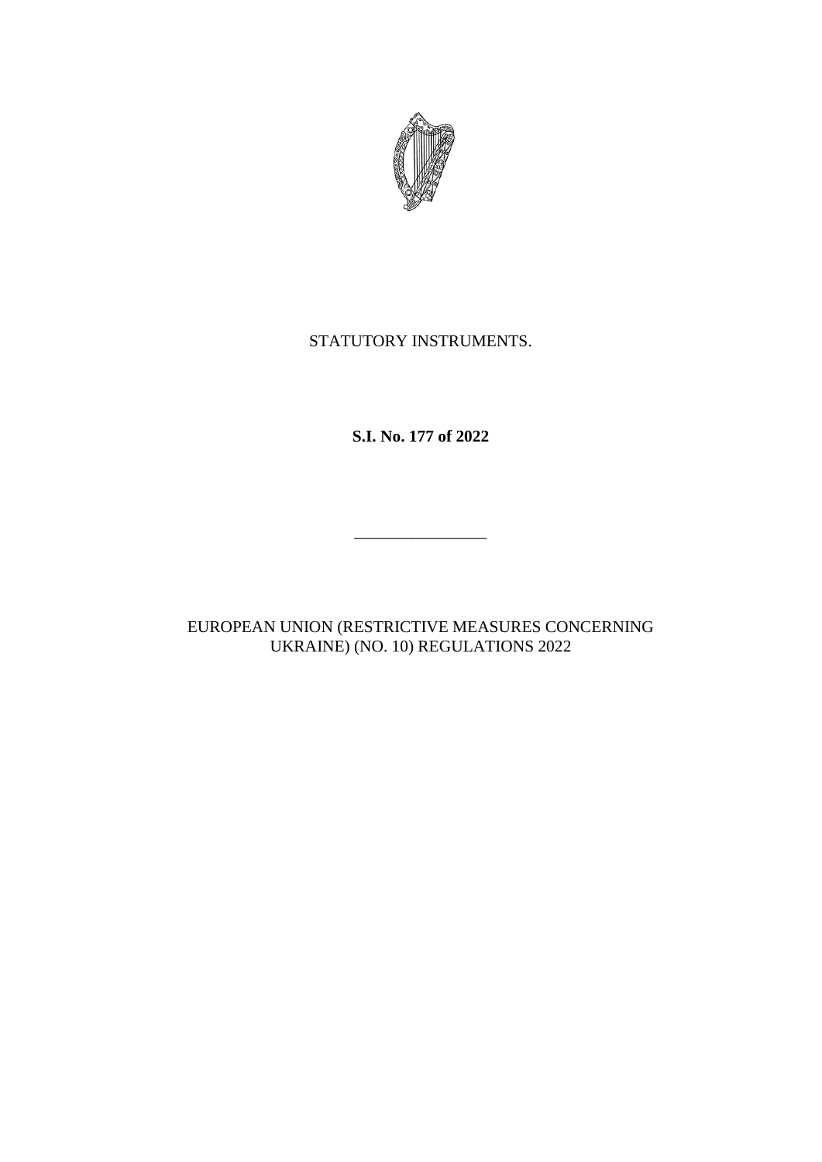

# STATUTORY INSTRUMENTS.

**S.I. No. 177 of 2022**

EUROPEAN UNION (RESTRICTIVE MEASURES CONCERNING UKRAINE) (NO. 10) REGULATIONS 2022

\_\_\_\_\_\_\_\_\_\_\_\_\_\_\_\_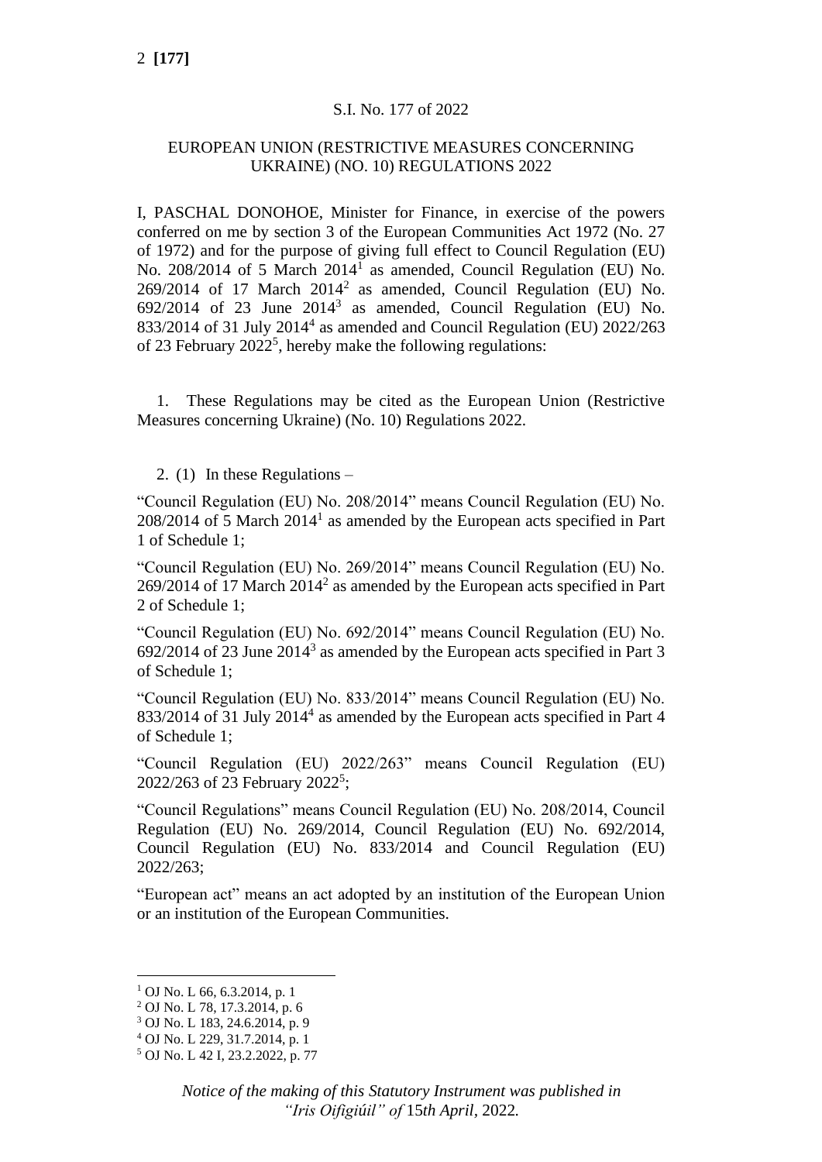# S.I. No. 177 of 2022

# EUROPEAN UNION (RESTRICTIVE MEASURES CONCERNING UKRAINE) (NO. 10) REGULATIONS 2022

I, PASCHAL DONOHOE, Minister for Finance, in exercise of the powers conferred on me by section 3 of the European Communities Act 1972 (No. 27 of 1972) and for the purpose of giving full effect to Council Regulation (EU) No. 208/2014 of 5 March 2014<sup>1</sup> as amended, Council Regulation (EU) No.  $269/2014$  of 17 March  $2014^2$  as amended, Council Regulation (EU) No.  $692/2014$  of 23 June  $2014<sup>3</sup>$  as amended, Council Regulation (EU) No. 833/2014 of 31 July 2014<sup>4</sup> as amended and Council Regulation (EU) 2022/263 of 23 February  $2022^5$ , hereby make the following regulations:

1. These Regulations may be cited as the European Union (Restrictive Measures concerning Ukraine) (No. 10) Regulations 2022.

2. (1) In these Regulations –

"Council Regulation (EU) No. 208/2014" means Council Regulation (EU) No.  $208/2014$  of 5 March  $2014<sup>1</sup>$  as amended by the European acts specified in Part 1 of Schedule 1;

"Council Regulation (EU) No. 269/2014" means Council Regulation (EU) No.  $269/2014$  of 17 March  $2014<sup>2</sup>$  as amended by the European acts specified in Part 2 of Schedule 1;

"Council Regulation (EU) No. 692/2014" means Council Regulation (EU) No.  $692/2014$  of 23 June  $2014<sup>3</sup>$  as amended by the European acts specified in Part 3 of Schedule 1;

"Council Regulation (EU) No. 833/2014" means Council Regulation (EU) No. 833/2014 of 31 July 2014<sup>4</sup> as amended by the European acts specified in Part 4 of Schedule 1;

"Council Regulation (EU) 2022/263" means Council Regulation (EU) 2022/263 of 23 February 2022<sup>5</sup>;

"Council Regulations" means Council Regulation (EU) No. 208/2014, Council Regulation (EU) No. 269/2014, Council Regulation (EU) No. 692/2014, Council Regulation (EU) No. 833/2014 and Council Regulation (EU) 2022/263;

"European act" means an act adopted by an institution of the European Union or an institution of the European Communities.

 $1$  OJ No. L 66, 6.3.2014, p. 1

<sup>2</sup> OJ No. L 78, 17.3.2014, p. 6

<sup>3</sup> OJ No. L 183, 24.6.2014, p. 9

<sup>4</sup> OJ No. L 229, 31.7.2014, p. 1

<sup>5</sup> OJ No. L 42 I, 23.2.2022, p. 77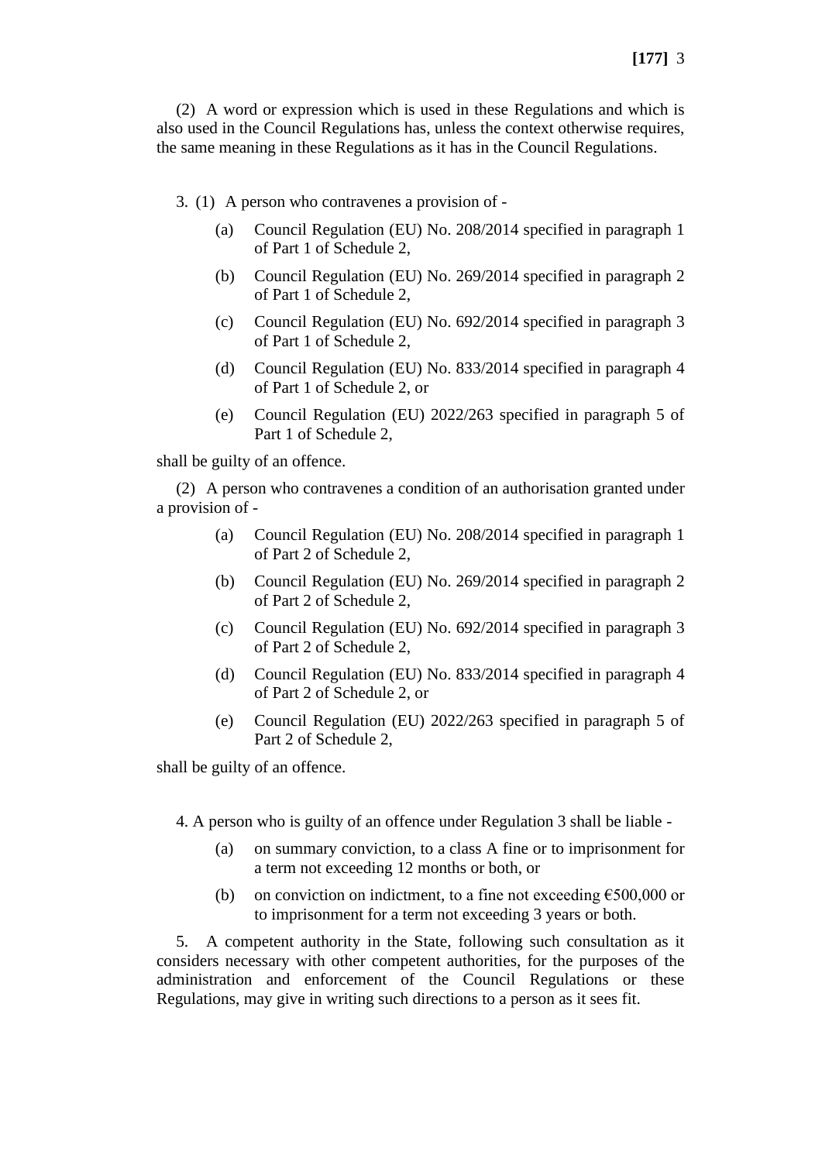(2) A word or expression which is used in these Regulations and which is also used in the Council Regulations has, unless the context otherwise requires, the same meaning in these Regulations as it has in the Council Regulations.

- 3. (1) A person who contravenes a provision of
	- (a) Council Regulation (EU) No. 208/2014 specified in paragraph 1 of Part 1 of Schedule 2,
	- (b) Council Regulation (EU) No. 269/2014 specified in paragraph 2 of Part 1 of Schedule 2,
	- (c) Council Regulation (EU) No. 692/2014 specified in paragraph 3 of Part 1 of Schedule 2,
	- (d) Council Regulation (EU) No. 833/2014 specified in paragraph 4 of Part 1 of Schedule 2, or
	- (e) Council Regulation (EU) 2022/263 specified in paragraph 5 of Part 1 of Schedule 2,

shall be guilty of an offence.

(2) A person who contravenes a condition of an authorisation granted under a provision of -

- (a) Council Regulation (EU) No. 208/2014 specified in paragraph 1 of Part 2 of Schedule 2,
- (b) Council Regulation (EU) No. 269/2014 specified in paragraph 2 of Part 2 of Schedule 2,
- (c) Council Regulation (EU) No. 692/2014 specified in paragraph 3 of Part 2 of Schedule 2,
- (d) Council Regulation (EU) No. 833/2014 specified in paragraph 4 of Part 2 of Schedule 2, or
- (e) Council Regulation (EU) 2022/263 specified in paragraph 5 of Part 2 of Schedule 2,

shall be guilty of an offence.

4. A person who is guilty of an offence under Regulation 3 shall be liable -

- (a) on summary conviction, to a class A fine or to imprisonment for a term not exceeding 12 months or both, or
- (b) on conviction on indictment, to a fine not exceeding  $\epsilon$ 500,000 or to imprisonment for a term not exceeding 3 years or both.

5. A competent authority in the State, following such consultation as it considers necessary with other competent authorities, for the purposes of the administration and enforcement of the Council Regulations or these Regulations, may give in writing such directions to a person as it sees fit.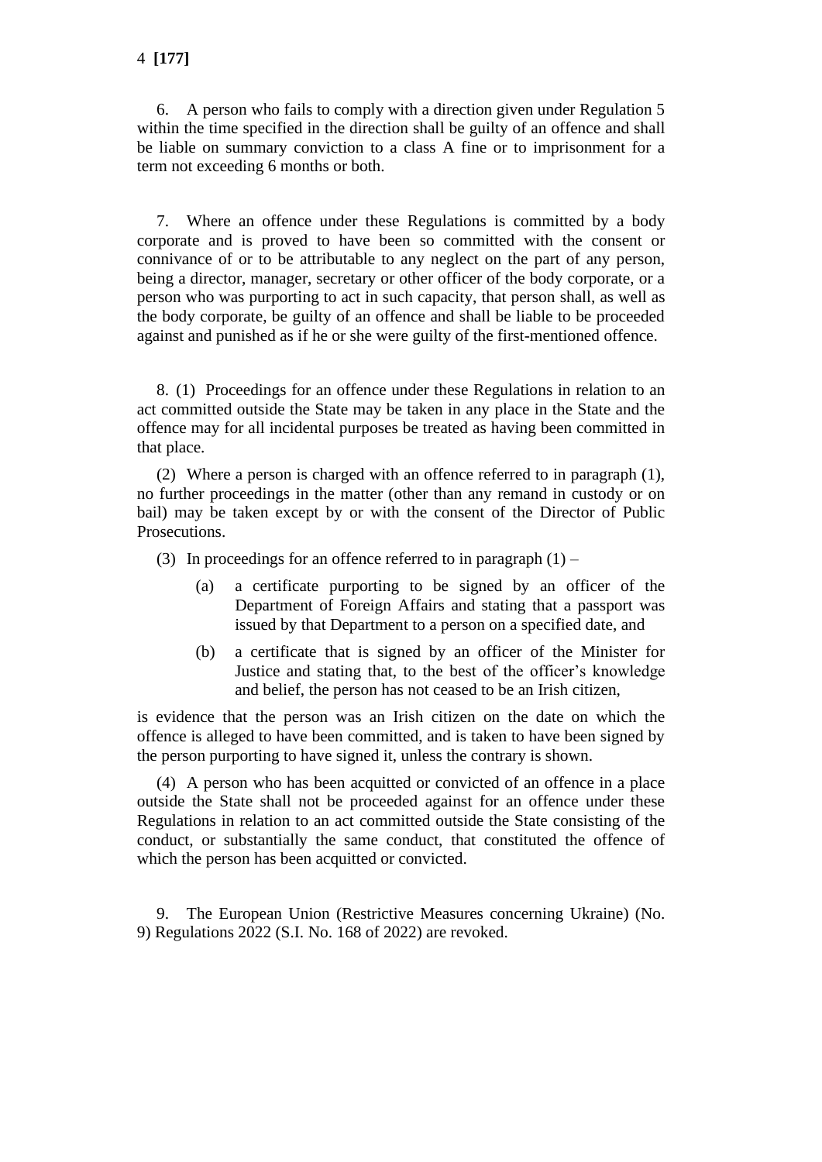6. A person who fails to comply with a direction given under Regulation 5 within the time specified in the direction shall be guilty of an offence and shall be liable on summary conviction to a class A fine or to imprisonment for a term not exceeding 6 months or both.

7. Where an offence under these Regulations is committed by a body corporate and is proved to have been so committed with the consent or connivance of or to be attributable to any neglect on the part of any person, being a director, manager, secretary or other officer of the body corporate, or a person who was purporting to act in such capacity, that person shall, as well as the body corporate, be guilty of an offence and shall be liable to be proceeded against and punished as if he or she were guilty of the first-mentioned offence.

8. (1) Proceedings for an offence under these Regulations in relation to an act committed outside the State may be taken in any place in the State and the offence may for all incidental purposes be treated as having been committed in that place.

(2) Where a person is charged with an offence referred to in paragraph (1), no further proceedings in the matter (other than any remand in custody or on bail) may be taken except by or with the consent of the Director of Public Prosecutions.

(3) In proceedings for an offence referred to in paragraph  $(1)$  –

- (a) a certificate purporting to be signed by an officer of the Department of Foreign Affairs and stating that a passport was issued by that Department to a person on a specified date, and
- (b) a certificate that is signed by an officer of the Minister for Justice and stating that, to the best of the officer's knowledge and belief, the person has not ceased to be an Irish citizen,

is evidence that the person was an Irish citizen on the date on which the offence is alleged to have been committed, and is taken to have been signed by the person purporting to have signed it, unless the contrary is shown.

(4) A person who has been acquitted or convicted of an offence in a place outside the State shall not be proceeded against for an offence under these Regulations in relation to an act committed outside the State consisting of the conduct, or substantially the same conduct, that constituted the offence of which the person has been acquitted or convicted.

9. The European Union (Restrictive Measures concerning Ukraine) (No. 9) Regulations 2022 (S.I. No. 168 of 2022) are revoked.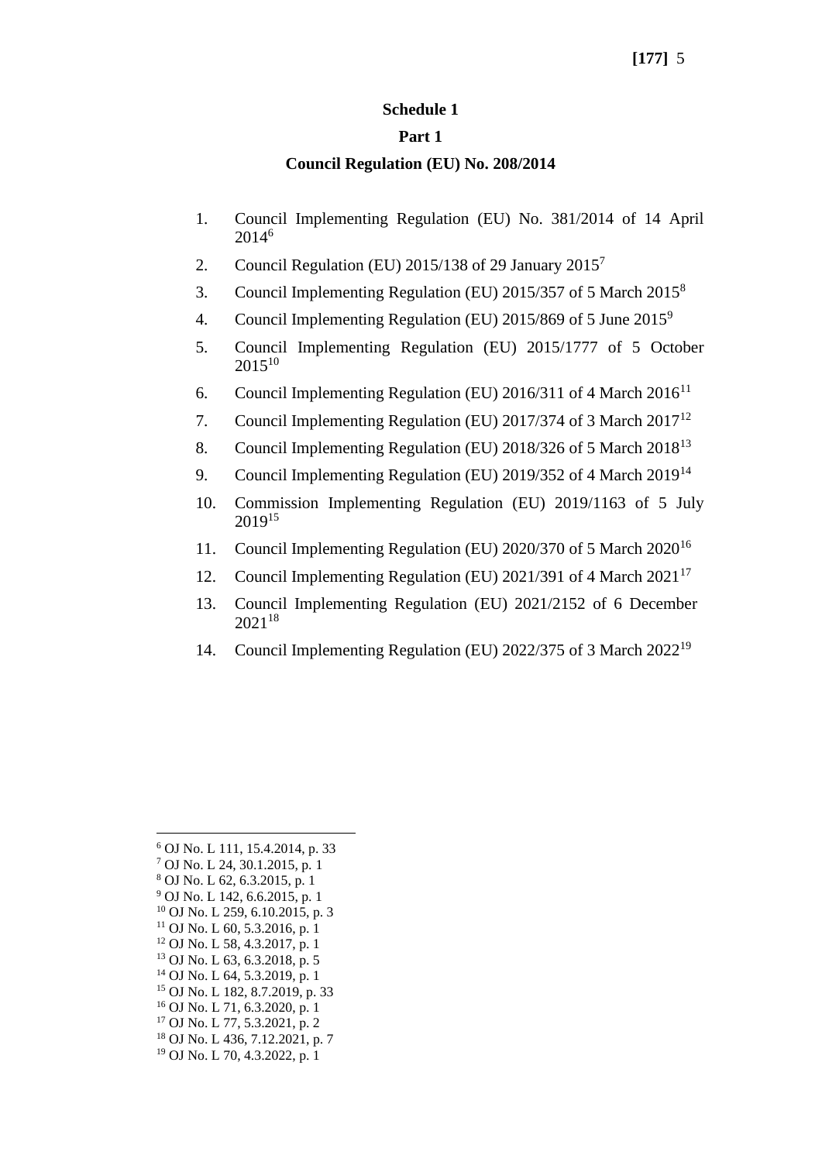#### **Schedule 1**

#### **Part 1**

### **Council Regulation (EU) No. 208/2014**

- 1. Council Implementing Regulation (EU) No. 381/2014 of 14 April 2014<sup>6</sup>
- 2. Council Regulation (EU)  $2015/138$  of 29 January  $2015<sup>7</sup>$
- 3. Council Implementing Regulation (EU) 2015/357 of 5 March 2015<sup>8</sup>
- 4. Council Implementing Regulation (EU) 2015/869 of 5 June 2015<sup>9</sup>
- 5. Council Implementing Regulation (EU) 2015/1777 of 5 October  $2015^{10}$
- 6. Council Implementing Regulation (EU) 2016/311 of 4 March  $2016^{11}$
- 7. Council Implementing Regulation (EU) 2017/374 of 3 March 2017<sup>12</sup>
- 8. Council Implementing Regulation (EU) 2018/326 of 5 March 2018<sup>13</sup>
- 9. Council Implementing Regulation (EU) 2019/352 of 4 March 2019<sup>14</sup>
- 10. Commission Implementing Regulation (EU) 2019/1163 of 5 July 2019<sup>15</sup>
- 11. Council Implementing Regulation (EU) 2020/370 of 5 March 2020<sup>16</sup>
- 12. Council Implementing Regulation (EU) 2021/391 of 4 March 2021<sup>17</sup>
- 13. Council Implementing Regulation (EU) 2021/2152 of 6 December 2021<sup>18</sup>
- 14. Council Implementing Regulation (EU) 2022/375 of 3 March 2022<sup>19</sup>

- <sup>15</sup> OJ No. L 182, 8.7.2019, p. 33
- <sup>16</sup> OJ No. L 71, 6.3.2020, p. 1
- <sup>17</sup> OJ No. L 77, 5.3.2021, p. 2
- <sup>18</sup> OJ No. L 436, 7.12.2021, p. 7
- <sup>19</sup> OJ No. L 70, 4.3.2022, p. 1

<sup>6</sup> OJ No. L 111, 15.4.2014, p. 33

<sup>7</sup> OJ No. L 24, 30.1.2015, p. 1

<sup>8</sup> OJ No. L 62, 6.3.2015, p. 1

 $9$  OJ No. L 142, 6.6.2015, p. 1

<sup>10</sup> OJ No. L 259, 6.10.2015, p. 3

 $11$  OJ No. L 60, 5.3.2016, p. 1 <sup>12</sup> OJ No. L 58, 4.3.2017, p. 1

<sup>13</sup> OJ No. L 63, 6.3.2018, p. 5

<sup>14</sup> OJ No. L 64, 5.3.2019, p. 1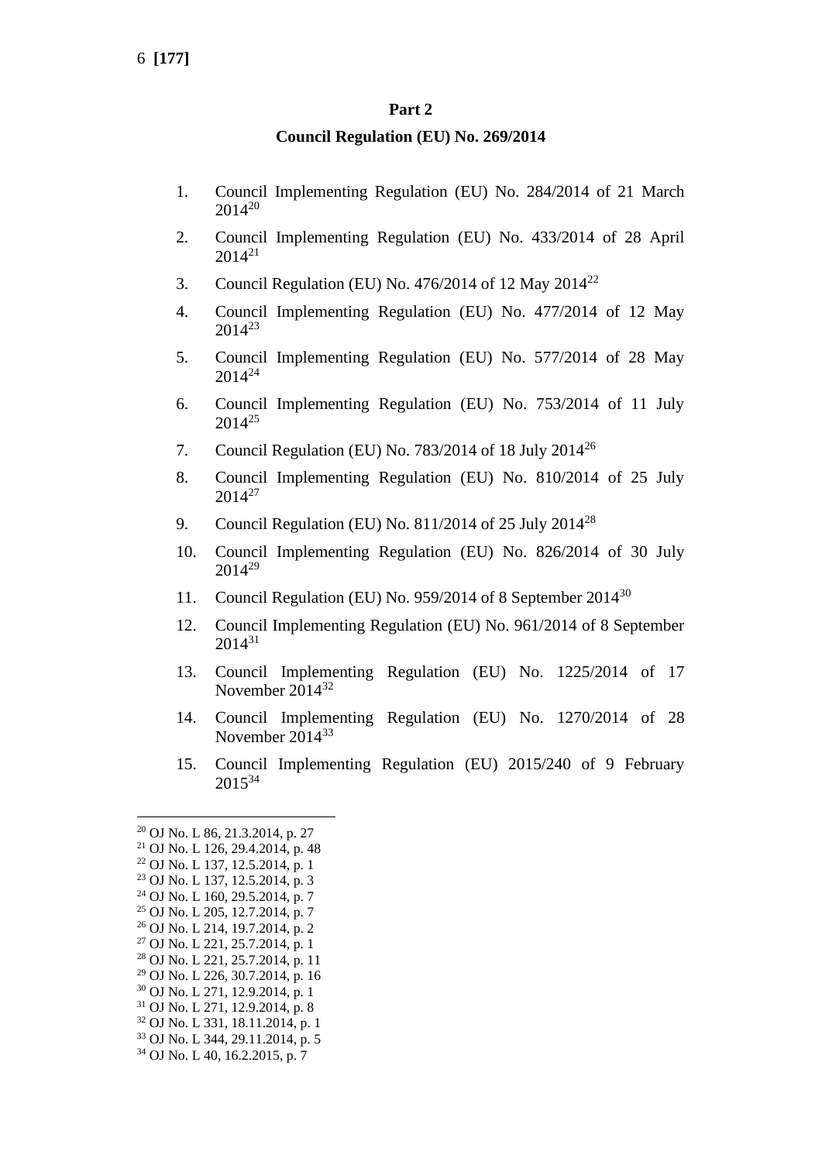#### **Part 2**

#### **Council Regulation (EU) No. 269/2014**

- 1. Council Implementing Regulation (EU) No. 284/2014 of 21 March 2014<sup>20</sup>
- 2. Council Implementing Regulation (EU) No. 433/2014 of 28 April 2014<sup>21</sup>
- 3. Council Regulation (EU) No. 476/2014 of 12 May  $2014^{22}$
- 4. Council Implementing Regulation (EU) No. 477/2014 of 12 May 2014<sup>23</sup>
- 5. Council Implementing Regulation (EU) No. 577/2014 of 28 May 2014<sup>24</sup>
- 6. Council Implementing Regulation (EU) No. 753/2014 of 11 July  $2014^{25}$
- 7. Council Regulation (EU) No. 783/2014 of 18 July 2014<sup>26</sup>
- 8. Council Implementing Regulation (EU) No. 810/2014 of 25 July  $2014^{27}$
- 9. Council Regulation (EU) No. 811/2014 of 25 July 2014<sup>28</sup>
- 10. Council Implementing Regulation (EU) No. 826/2014 of 30 July 2014<sup>29</sup>
- 11. Council Regulation (EU) No. 959/2014 of 8 September 2014<sup>30</sup>
- 12. Council Implementing Regulation (EU) No. 961/2014 of 8 September 2014<sup>31</sup>
- 13. Council Implementing Regulation (EU) No. 1225/2014 of 17 November 2014<sup>32</sup>
- 14. Council Implementing Regulation (EU) No. 1270/2014 of 28 November 2014<sup>33</sup>
- 15. Council Implementing Regulation (EU) 2015/240 of 9 February 2015<sup>34</sup>

<sup>20</sup> OJ No. L 86, 21.3.2014, p. 27

<sup>21</sup> OJ No. L 126, 29.4.2014, p. 48

<sup>22</sup> OJ No. L 137, 12.5.2014, p. 1

<sup>23</sup> OJ No. L 137, 12.5.2014, p. 3

<sup>24</sup> OJ No. L 160, 29.5.2014, p. 7 <sup>25</sup> OJ No. L 205, 12.7.2014, p. 7

<sup>26</sup> OJ No. L 214, 19.7.2014, p. 2

<sup>&</sup>lt;sup>27</sup> OJ No. L 221, 25.7.2014, p. 1

<sup>28</sup> OJ No. L 221, 25.7.2014, p. 11

<sup>29</sup> OJ No. L 226, 30.7.2014, p. 16

<sup>30</sup> OJ No. L 271, 12.9.2014, p. 1

<sup>31</sup> OJ No. L 271, 12.9.2014, p. 8

<sup>32</sup> OJ No. L 331, 18.11.2014, p. 1

<sup>33</sup> OJ No. L 344, 29.11.2014, p. 5

<sup>34</sup> OJ No. L 40, 16.2.2015, p. 7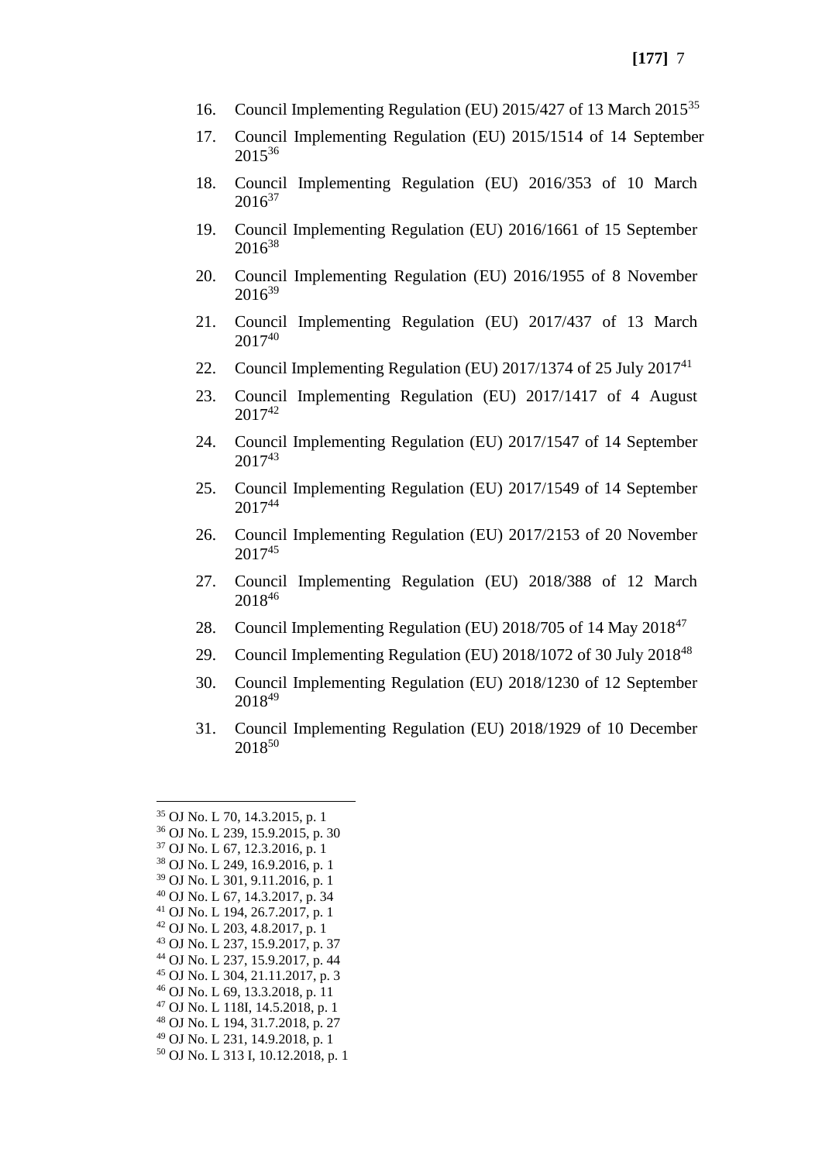- 16. Council Implementing Regulation (EU) 2015/427 of 13 March 2015<sup>35</sup>
- 17. Council Implementing Regulation (EU) 2015/1514 of 14 September  $2015^{36}$
- 18. Council Implementing Regulation (EU) 2016/353 of 10 March  $2016^{37}$
- 19. Council Implementing Regulation (EU) 2016/1661 of 15 September 2016<sup>38</sup>
- 20. Council Implementing Regulation (EU) 2016/1955 of 8 November 2016<sup>39</sup>
- 21. Council Implementing Regulation (EU) 2017/437 of 13 March 2017<sup>40</sup>
- 22. Council Implementing Regulation (EU) 2017/1374 of 25 July  $2017^{41}$
- 23. Council Implementing Regulation (EU) 2017/1417 of 4 August  $2017^{42}$
- 24. Council Implementing Regulation (EU) 2017/1547 of 14 September 2017<sup>43</sup>
- 25. Council Implementing Regulation (EU) 2017/1549 of 14 September 2017<sup>44</sup>
- 26. Council Implementing Regulation (EU) 2017/2153 of 20 November 2017<sup>45</sup>
- 27. Council Implementing Regulation (EU) 2018/388 of 12 March 2018<sup>46</sup>
- 28. Council Implementing Regulation (EU) 2018/705 of 14 May 2018<sup>47</sup>
- 29. Council Implementing Regulation (EU) 2018/1072 of 30 July 2018<sup>48</sup>
- 30. Council Implementing Regulation (EU) 2018/1230 of 12 September 2018<sup>49</sup>
- 31. Council Implementing Regulation (EU) 2018/1929 of 10 December 2018 50

- <sup>45</sup> OJ No. L 304, 21.11.2017, p. 3
- <sup>46</sup> OJ No. L 69, 13.3.2018, p. 11
- <sup>47</sup> OJ No. L 118I, 14.5.2018, p. 1
- <sup>48</sup> OJ No. L 194, 31.7.2018, p. 27
- <sup>49</sup> OJ No. L 231, 14.9.2018, p. 1
- <sup>50</sup> OJ No. L 313 I, 10.12.2018, p. 1

<sup>35</sup> OJ No. L 70, 14.3.2015, p. 1

<sup>36</sup> OJ No. L 239, 15.9.2015, p. 30

<sup>37</sup> OJ No. L 67, 12.3.2016, p. 1

<sup>38</sup> OJ No. L 249, 16.9.2016, p. 1 <sup>39</sup> OJ No. L 301, 9.11.2016, p. 1

<sup>40</sup> OJ No. L 67, 14.3.2017, p. 34

<sup>41</sup> OJ No. L 194, 26.7.2017, p. 1

<sup>42</sup> OJ No. L 203, 4.8.2017, p. 1

<sup>43</sup> OJ No. L 237, 15.9.2017, p. 37

<sup>44</sup> OJ No. L 237, 15.9.2017, p. 44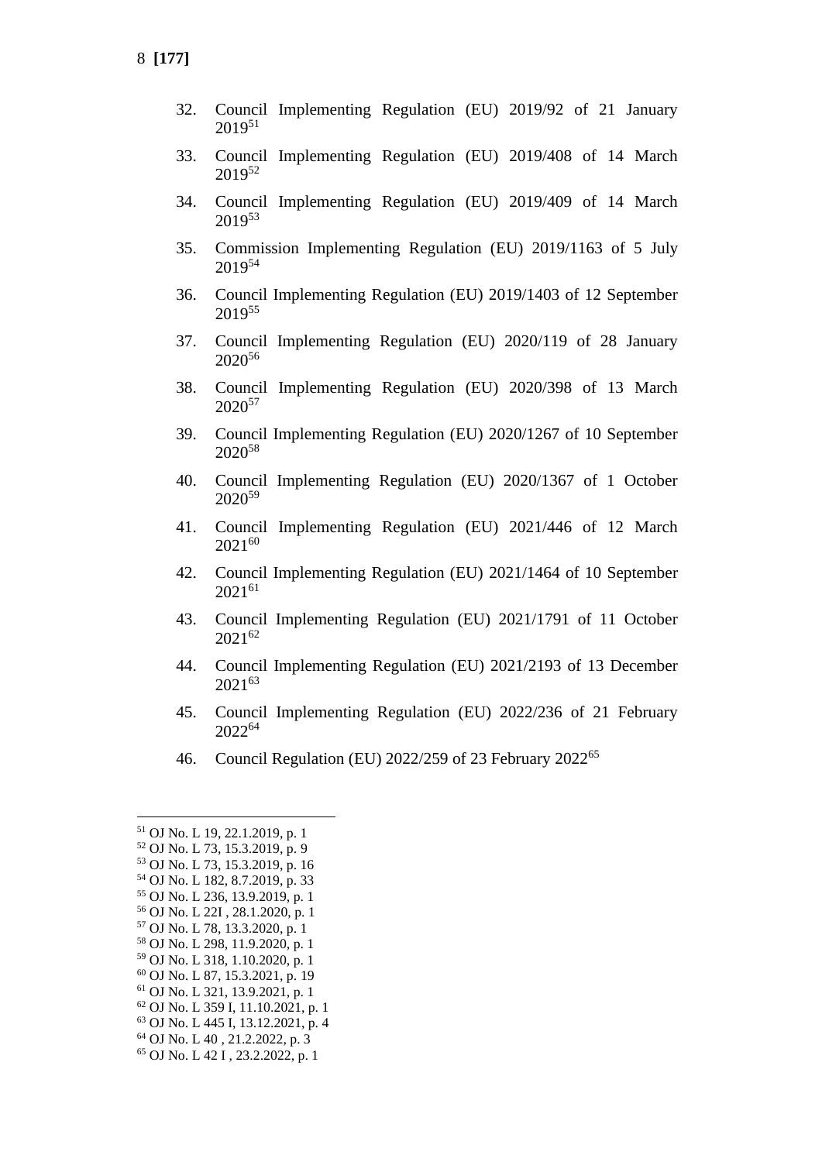- 32. Council Implementing Regulation (EU) 2019/92 of 21 January 2019<sup>51</sup>
- 33. Council Implementing Regulation (EU) 2019/408 of 14 March 2019<sup>52</sup>
- 34. Council Implementing Regulation (EU) 2019/409 of 14 March 2019<sup>53</sup>
- 35. Commission Implementing Regulation (EU) 2019/1163 of 5 July 2019<sup>54</sup>
- 36. Council Implementing Regulation (EU) 2019/1403 of 12 September 2019<sup>55</sup>
- 37. Council Implementing Regulation (EU) 2020/119 of 28 January 2020<sup>56</sup>
- 38. Council Implementing Regulation (EU) 2020/398 of 13 March 2020<sup>57</sup>
- 39. Council Implementing Regulation (EU) 2020/1267 of 10 September 2020<sup>58</sup>
- 40. Council Implementing Regulation (EU) 2020/1367 of 1 October 2020<sup>59</sup>
- 41. Council Implementing Regulation (EU) 2021/446 of 12 March  $2021^{60}$
- 42. Council Implementing Regulation (EU) 2021/1464 of 10 September 2021<sup>61</sup>
- 43. Council Implementing Regulation (EU) 2021/1791 of 11 October 2021<sup>62</sup>
- 44. Council Implementing Regulation (EU) 2021/2193 of 13 December 2021<sup>63</sup>
- 45. Council Implementing Regulation (EU) 2022/236 of 21 February 2022<sup>64</sup>
- 46. Council Regulation (EU) 2022/259 of 23 February 2022<sup>65</sup>

<sup>64</sup> OJ No. L 40 , 21.2.2022, p. 3

<sup>51</sup> OJ No. L 19, 22.1.2019, p. 1

<sup>52</sup> OJ No. L 73, 15.3.2019, p. 9

<sup>53</sup> OJ No. L 73, 15.3.2019, p. 16 <sup>54</sup> OJ No. L 182, 8.7.2019, p. 33

<sup>55</sup> OJ No. L 236, 13.9.2019, p. 1

<sup>56</sup> OJ No. L 22I , 28.1.2020, p. 1

<sup>57</sup> OJ No. L 78, 13.3.2020, p. 1

<sup>58</sup> OJ No. L 298, 11.9.2020, p. 1

<sup>59</sup> OJ No. L 318, 1.10.2020, p. 1

<sup>60</sup> OJ No. L 87, 15.3.2021, p. 19

<sup>61</sup> OJ No. L 321, 13.9.2021, p. 1

<sup>62</sup> OJ No. L 359 I, 11.10.2021, p. 1

<sup>63</sup> OJ No. L 445 I, 13.12.2021, p. 4

<sup>65</sup> OJ No. L 42 I , 23.2.2022, p. 1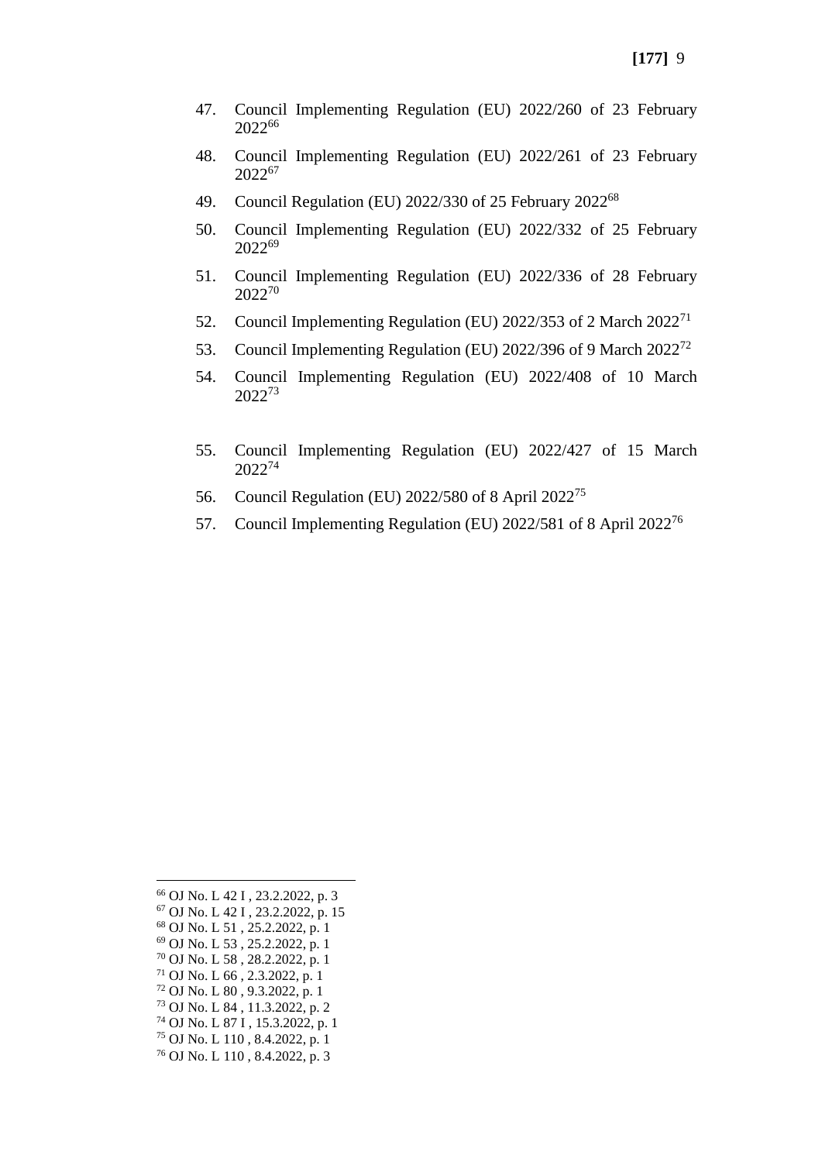- 47. Council Implementing Regulation (EU) 2022/260 of 23 February 2022<sup>66</sup>
- 48. Council Implementing Regulation (EU) 2022/261 of 23 February 2022<sup>67</sup>
- 49. Council Regulation (EU) 2022/330 of 25 February 2022<sup>68</sup>
- 50. Council Implementing Regulation (EU) 2022/332 of 25 February 2022<sup>69</sup>
- 51. Council Implementing Regulation (EU) 2022/336 of 28 February 2022<sup>70</sup>
- 52. Council Implementing Regulation (EU) 2022/353 of 2 March 2022<sup>71</sup>
- 53. Council Implementing Regulation (EU) 2022/396 of 9 March 2022<sup>72</sup>
- 54. Council Implementing Regulation (EU) 2022/408 of 10 March 2022<sup>73</sup>
- 55. Council Implementing Regulation (EU) 2022/427 of 15 March 2022<sup>74</sup>
- 56. Council Regulation (EU) 2022/580 of 8 April 2022<sup>75</sup>
- 57. Council Implementing Regulation (EU) 2022/581 of 8 April 2022<sup>76</sup>

 OJ No. L 42 I , 23.2.2022, p. 3 OJ No. L 42 I , 23.2.2022, p. 15 OJ No. L 51 , 25.2.2022, p. 1 OJ No. L 53 , 25.2.2022, p. 1 OJ No. L 58 , 28.2.2022, p. 1 OJ No. L 66 , 2.3.2022, p. 1 OJ No. L 80 , 9.3.2022, p. 1 OJ No. L 84 , 11.3.2022, p. 2 OJ No. L 87 I , 15.3.2022, p. 1 OJ No. L 110 , 8.4.2022, p. 1 OJ No. L 110 , 8.4.2022, p. 3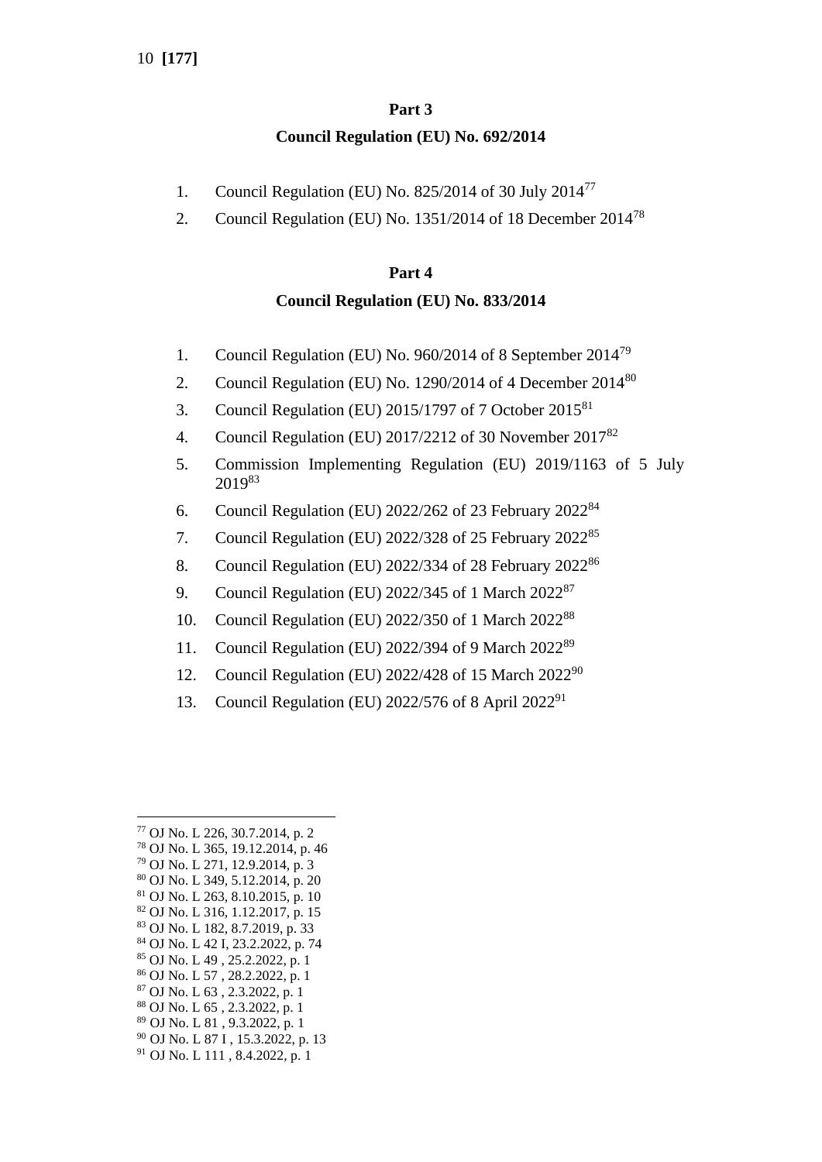# **Part 3 Council Regulation (EU) No. 692/2014**

- 1. Council Regulation (EU) No. 825/2014 of 30 July 2014<sup>77</sup>
- 2. Council Regulation (EU) No. 1351/2014 of 18 December 2014<sup>78</sup>

# **Part 4**

## **Council Regulation (EU) No. 833/2014**

- 1. Council Regulation (EU) No. 960/2014 of 8 September 2014<sup>79</sup>
- 2. Council Regulation (EU) No. 1290/2014 of 4 December 2014<sup>80</sup>
- 3. Council Regulation (EU)  $2015/1797$  of 7 October  $2015^{81}$
- 4. Council Regulation (EU) 2017/2212 of 30 November 2017<sup>82</sup>
- 5. Commission Implementing Regulation (EU) 2019/1163 of 5 July 2019<sup>83</sup>
- 6. Council Regulation (EU) 2022/262 of 23 February 2022<sup>84</sup>
- 7. Council Regulation (EU) 2022/328 of 25 February 2022<sup>85</sup>
- 8. Council Regulation (EU) 2022/334 of 28 February 2022<sup>86</sup>
- 9. Council Regulation (EU) 2022/345 of 1 March 2022<sup>87</sup>
- 10. Council Regulation (EU) 2022/350 of 1 March 2022<sup>88</sup>
- 11. Council Regulation (EU) 2022/394 of 9 March 2022<sup>89</sup>
- 12. Council Regulation (EU) 2022/428 of 15 March 2022<sup>90</sup>
- 13. Council Regulation (EU) 2022/576 of 8 April 2022<sup>91</sup>

<sup>84</sup> OJ No. L 42 I, 23.2.2022, p. 74

- <sup>86</sup> OJ No. L 57 , 28.2.2022, p. 1
- <sup>87</sup> OJ No. L 63 , 2.3.2022, p. 1
- <sup>88</sup> OJ No. L 65 , 2.3.2022, p. 1
- <sup>89</sup> OJ No. L 81 , 9.3.2022, p. 1 <sup>90</sup> OJ No. L 87 I , 15.3.2022, p. 13
- <sup>91</sup> OJ No. L 111 , 8.4.2022, p. 1
- 

<sup>77</sup> OJ No. L 226, 30.7.2014, p. 2

<sup>78</sup> OJ No. L 365, 19.12.2014, p. 46

<sup>79</sup> OJ No. L 271, 12.9.2014, p. 3

<sup>80</sup> OJ No. L 349, 5.12.2014, p. 20 <sup>81</sup> OJ No. L 263, 8.10.2015, p. 10

<sup>82</sup> OJ No. L 316, 1.12.2017, p. 15

<sup>83</sup> OJ No. L 182, 8.7.2019, p. 33

<sup>85</sup> OJ No. L 49 , 25.2.2022, p. 1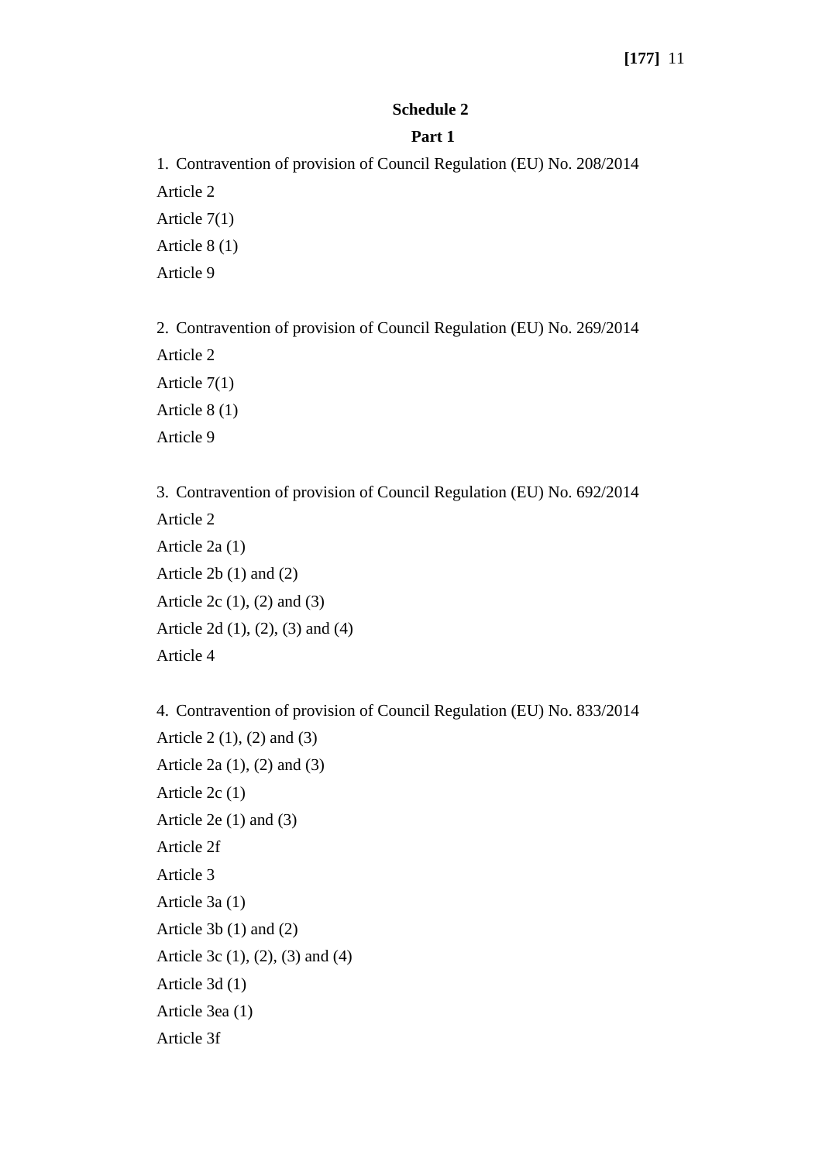# **Schedule 2**

## **Part 1**

1. Contravention of provision of Council Regulation (EU) No. 208/2014 Article 2 Article 7(1) Article 8 (1) Article 9

2. Contravention of provision of Council Regulation (EU) No. 269/2014 Article 2 Article 7(1) Article 8 (1) Article 9

3. Contravention of provision of Council Regulation (EU) No. 692/2014 Article 2 Article 2a (1) Article 2b (1) and (2) Article 2c (1), (2) and (3) Article 2d (1), (2), (3) and (4) Article 4

4. Contravention of provision of Council Regulation (EU) No. 833/2014 Article 2 (1), (2) and (3) Article 2a (1), (2) and (3) Article 2c (1) Article 2e (1) and (3) Article 2f Article 3 Article 3a (1) Article 3b (1) and (2) Article 3c (1), (2), (3) and (4) Article 3d (1) Article 3ea (1) Article 3f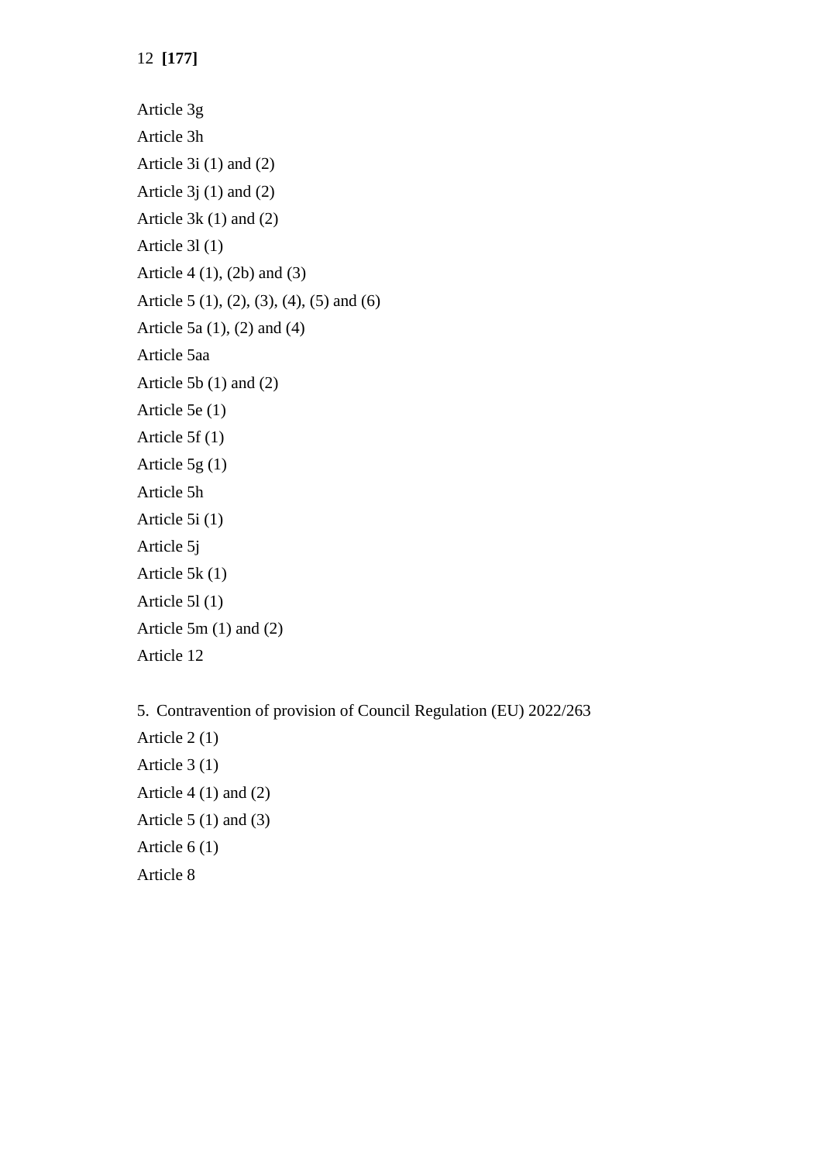12 **[177]**

- Article 3g Article 3h Article 3i (1) and (2) Article  $3j(1)$  and  $(2)$ Article 3k (1) and (2) Article 3l (1) Article 4 (1), (2b) and (3) Article 5 (1), (2), (3), (4), (5) and (6) Article 5a (1), (2) and (4) Article 5aa Article 5b (1) and (2) Article 5e (1) Article 5f (1) Article 5g (1) Article 5h Article 5i (1) Article 5j Article 5k (1) Article 5l (1) Article 5m (1) and (2) Article 12
- 5. Contravention of provision of Council Regulation (EU) 2022/263 Article 2 (1) Article 3 (1) Article 4  $(1)$  and  $(2)$ Article  $5(1)$  and  $(3)$ Article 6 (1) Article 8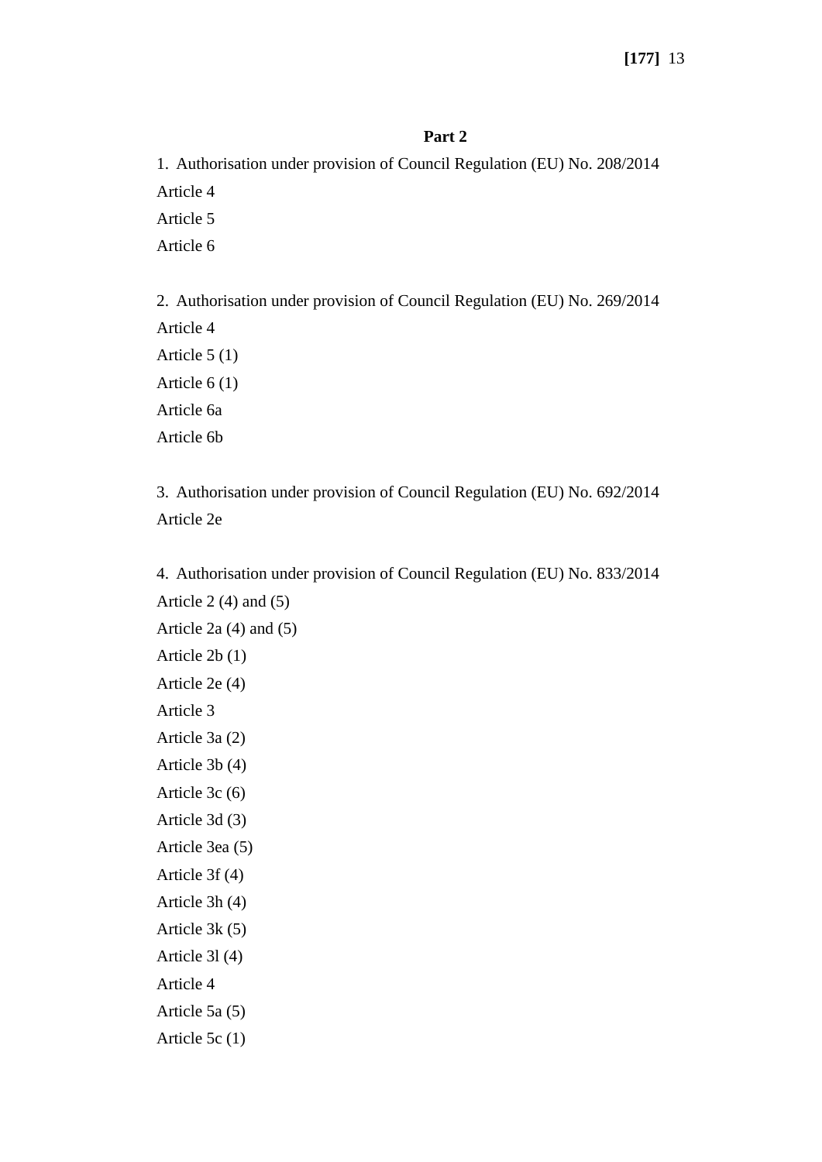## **Part 2**

1. Authorisation under provision of Council Regulation (EU) No. 208/2014 Article 4 Article 5 Article 6

2. Authorisation under provision of Council Regulation (EU) No. 269/2014 Article 4 Article 5 (1) Article 6 (1) Article 6a Article 6b

3. Authorisation under provision of Council Regulation (EU) No. 692/2014 Article 2e

4. Authorisation under provision of Council Regulation (EU) No. 833/2014 Article  $2(4)$  and  $(5)$ Article 2a (4) and (5) Article 2b (1) Article 2e (4) Article 3 Article 3a (2) Article 3b (4) Article 3c (6) Article 3d (3) Article 3ea (5) Article 3f (4) Article 3h (4) Article 3k (5) Article 3l (4) Article 4 Article 5a (5)

Article 5c (1)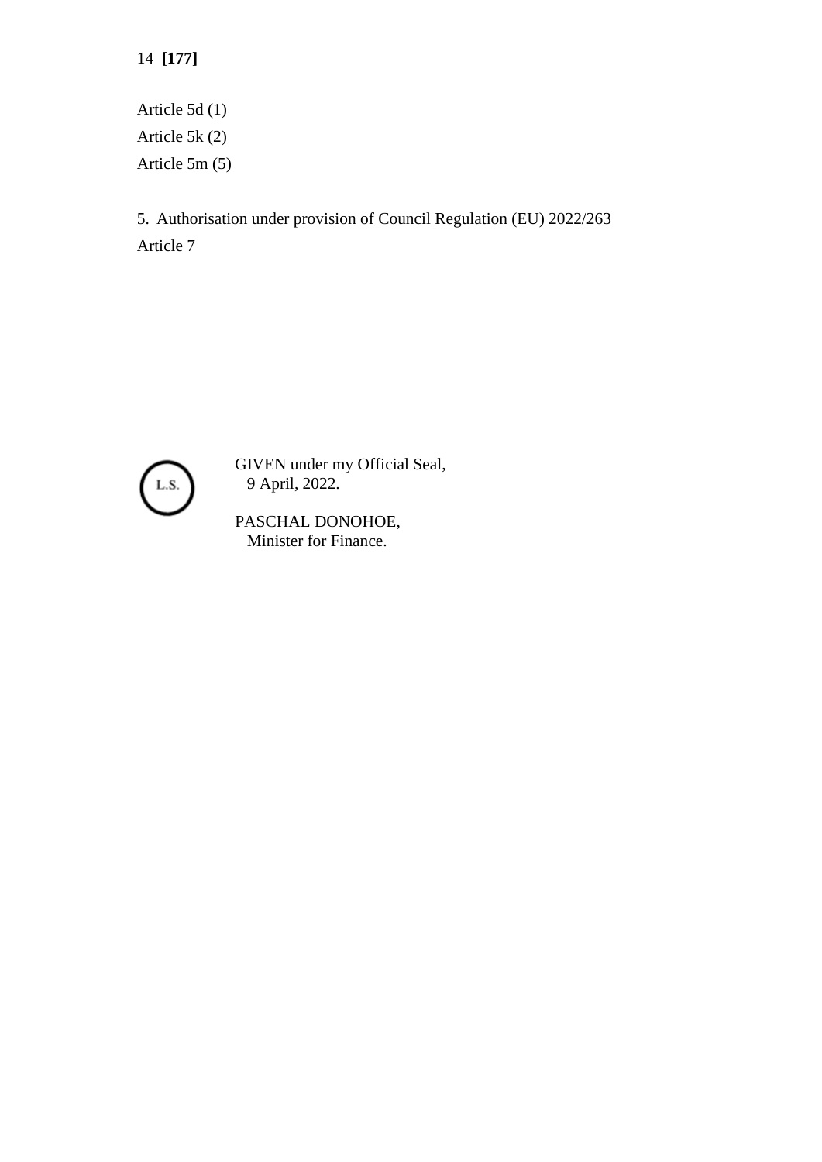14 **[177]**

Article 5d (1) Article 5k (2) Article 5m (5)

5. Authorisation under provision of Council Regulation (EU) 2022/263 Article 7



GIVEN under my Official Seal, 9 April, 2022.

PASCHAL DONOHOE, Minister for Finance.